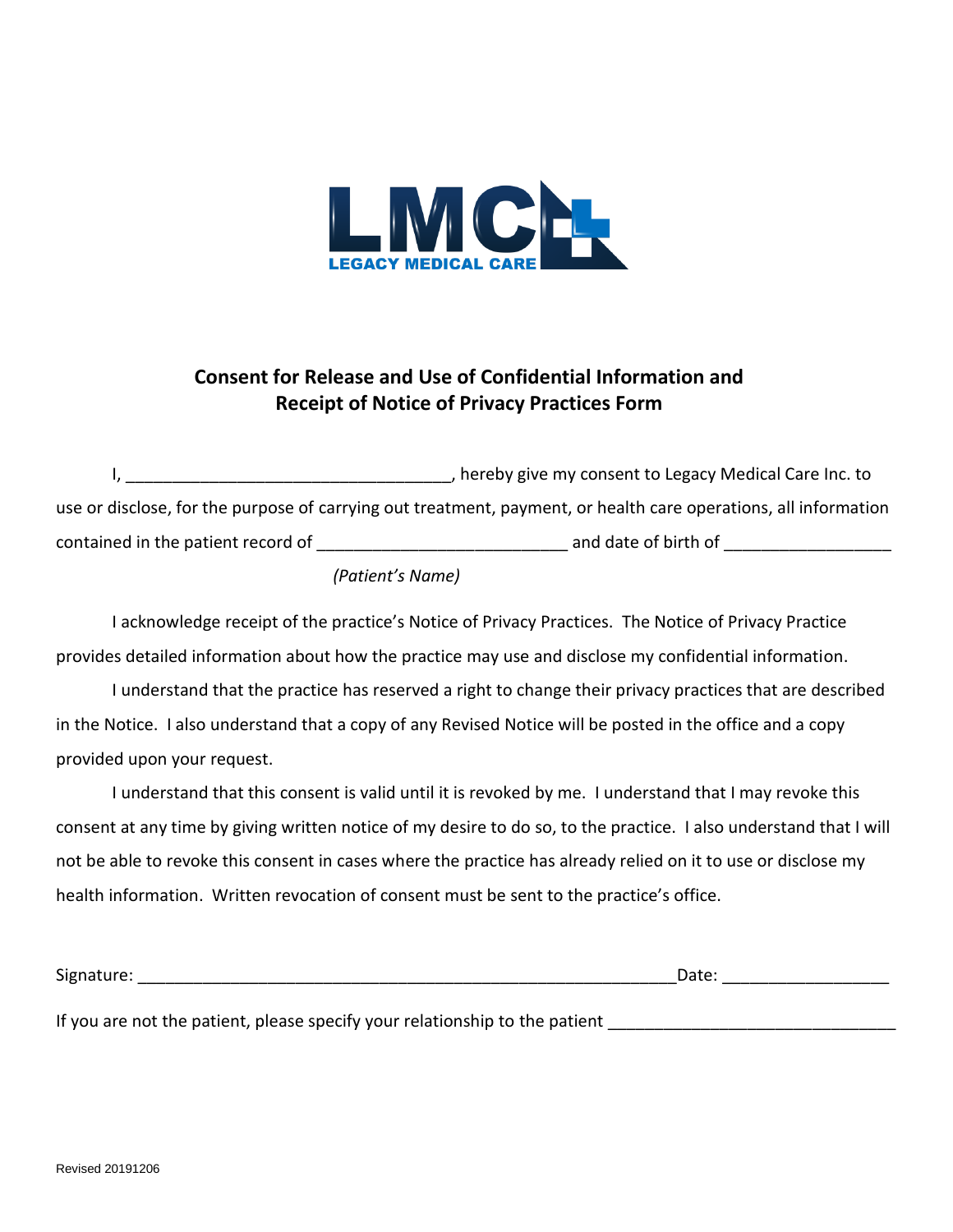

## **Consent for Release and Use of Confidential Information and Receipt of Notice of Privacy Practices Form**

I, thereby give my consent to Legacy Medical Care Inc. to use or disclose, for the purpose of carrying out treatment, payment, or health care operations, all information contained in the patient record of \_\_\_\_\_\_\_\_\_\_\_\_\_\_\_\_\_\_\_\_\_\_\_\_\_\_\_ and date of birth of \_\_\_\_\_\_\_\_\_\_\_\_\_\_\_\_\_\_

## *(Patient's Name)*

I acknowledge receipt of the practice's Notice of Privacy Practices. The Notice of Privacy Practice provides detailed information about how the practice may use and disclose my confidential information.

I understand that the practice has reserved a right to change their privacy practices that are described in the Notice. I also understand that a copy of any Revised Notice will be posted in the office and a copy provided upon your request.

I understand that this consent is valid until it is revoked by me. I understand that I may revoke this consent at any time by giving written notice of my desire to do so, to the practice. I also understand that I will not be able to revoke this consent in cases where the practice has already relied on it to use or disclose my health information. Written revocation of consent must be sent to the practice's office.

| --<br>וטור<br>. . |  |
|-------------------|--|
|                   |  |

If you are not the patient, please specify your relationship to the patient